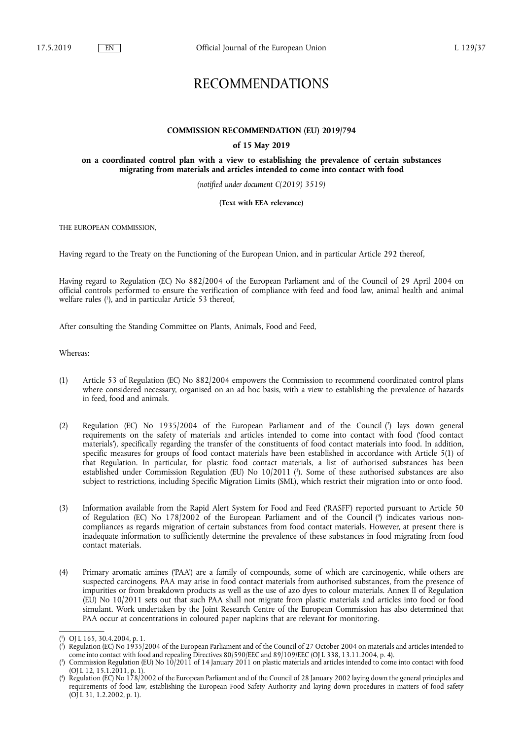# RECOMMENDATIONS

# **COMMISSION RECOMMENDATION (EU) 2019/794**

## **of 15 May 2019**

**on a coordinated control plan with a view to establishing the prevalence of certain substances migrating from materials and articles intended to come into contact with food** 

*(notified under document C(2019) 3519)* 

#### **(Text with EEA relevance)**

THE EUROPEAN COMMISSION,

Having regard to the Treaty on the Functioning of the European Union, and in particular Article 292 thereof,

Having regard to Regulation (EC) No 882/2004 of the European Parliament and of the Council of 29 April 2004 on official controls performed to ensure the verification of compliance with feed and food law, animal health and animal welfare rules ( 1 ), and in particular Article 53 thereof,

After consulting the Standing Committee on Plants, Animals, Food and Feed,

Whereas:

- (1) Article 53 of Regulation (EC) No 882/2004 empowers the Commission to recommend coordinated control plans where considered necessary, organised on an ad hoc basis, with a view to establishing the prevalence of hazards in feed, food and animals.
- (2) Regulation (EC) No 1935/2004 of the European Parliament and of the Council (?) lays down general requirements on the safety of materials and articles intended to come into contact with food ('food contact materials'), specifically regarding the transfer of the constituents of food contact materials into food. In addition, specific measures for groups of food contact materials have been established in accordance with Article 5(1) of that Regulation. In particular, for plastic food contact materials, a list of authorised substances has been established under Commission Regulation (EU) No 10/2011 ( 3 ). Some of these authorised substances are also subject to restrictions, including Specific Migration Limits (SML), which restrict their migration into or onto food.
- (3) Information available from the Rapid Alert System for Food and Feed ('RASFF') reported pursuant to Article 50 of Regulation (EC) No 178/2002 of the European Parliament and of the Council (<sup>4</sup>) indicates various noncompliances as regards migration of certain substances from food contact materials. However, at present there is inadequate information to sufficiently determine the prevalence of these substances in food migrating from food contact materials.
- (4) Primary aromatic amines ('PAA') are a family of compounds, some of which are carcinogenic, while others are suspected carcinogens. PAA may arise in food contact materials from authorised substances, from the presence of impurities or from breakdown products as well as the use of azo dyes to colour materials. Annex II of Regulation (EU) No 10/2011 sets out that such PAA shall not migrate from plastic materials and articles into food or food simulant. Work undertaken by the Joint Research Centre of the European Commission has also determined that PAA occur at concentrations in coloured paper napkins that are relevant for monitoring.

<sup>(</sup> 1 ) OJ L 165, 30.4.2004, p. 1.

<sup>(</sup> 2 ) Regulation (EC) No 1935/2004 of the European Parliament and of the Council of 27 October 2004 on materials and articles intended to come into contact with food and repealing Directives 80/590/EEC and 89/109/EEC (OJ L 338, 13.11.2004, p. 4).

<sup>(</sup> 3 ) Commission Regulation (EU) No 10/2011 of 14 January 2011 on plastic materials and articles intended to come into contact with food (OJ L 12, 15.1.2011, p. 1).

<sup>(</sup> 4 ) Regulation (EC) No 178/2002 of the European Parliament and of the Council of 28 January 2002 laying down the general principles and requirements of food law, establishing the European Food Safety Authority and laying down procedures in matters of food safety (OJ L 31, 1.2.2002, p. 1).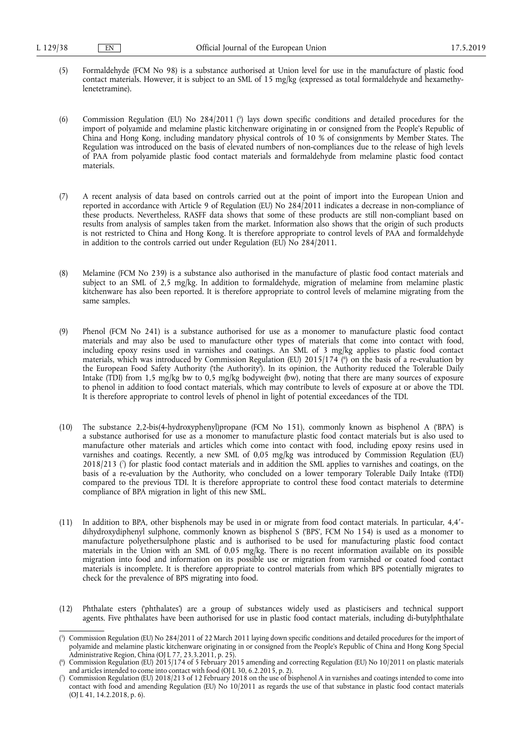- (5) Formaldehyde (FCM No 98) is a substance authorised at Union level for use in the manufacture of plastic food contact materials. However, it is subject to an SML of 15 mg/kg (expressed as total formaldehyde and hexamethylenetetramine).
- (6) Commission Regulation (EU) No 284/2011 ( 5 ) lays down specific conditions and detailed procedures for the import of polyamide and melamine plastic kitchenware originating in or consigned from the People's Republic of China and Hong Kong, including mandatory physical controls of 10 % of consignments by Member States. The Regulation was introduced on the basis of elevated numbers of non-compliances due to the release of high levels of PAA from polyamide plastic food contact materials and formaldehyde from melamine plastic food contact materials.
- (7) A recent analysis of data based on controls carried out at the point of import into the European Union and reported in accordance with Article 9 of Regulation (EU) No 284/2011 indicates a decrease in non-compliance of these products. Nevertheless, RASFF data shows that some of these products are still non-compliant based on results from analysis of samples taken from the market. Information also shows that the origin of such products is not restricted to China and Hong Kong. It is therefore appropriate to control levels of PAA and formaldehyde in addition to the controls carried out under Regulation (EU) No 284/2011.
- (8) Melamine (FCM No 239) is a substance also authorised in the manufacture of plastic food contact materials and subject to an SML of 2,5 mg/kg. In addition to formaldehyde, migration of melamine from melamine plastic kitchenware has also been reported. It is therefore appropriate to control levels of melamine migrating from the same samples.
- (9) Phenol (FCM No 241) is a substance authorised for use as a monomer to manufacture plastic food contact materials and may also be used to manufacture other types of materials that come into contact with food, including epoxy resins used in varnishes and coatings. An SML of 3 mg/kg applies to plastic food contact materials, which was introduced by Commission Regulation (EU) 2015/174 ( 6 ) on the basis of a re-evaluation by the European Food Safety Authority ('the Authority'). In its opinion, the Authority reduced the Tolerable Daily Intake (TDI) from 1,5 mg/kg bw to 0,5 mg/kg bodyweight (bw), noting that there are many sources of exposure to phenol in addition to food contact materials, which may contribute to levels of exposure at or above the TDI. It is therefore appropriate to control levels of phenol in light of potential exceedances of the TDI.
- (10) The substance 2,2-bis(4-hydroxyphenyl)propane (FCM No 151), commonly known as bisphenol A ('BPA') is a substance authorised for use as a monomer to manufacture plastic food contact materials but is also used to manufacture other materials and articles which come into contact with food, including epoxy resins used in varnishes and coatings. Recently, a new SML of 0,05 mg/kg was introduced by Commission Regulation (EU) 2018/213 ( 7 ) for plastic food contact materials and in addition the SML applies to varnishes and coatings, on the basis of a re-evaluation by the Authority, who concluded on a lower temporary Tolerable Daily Intake (tTDI) compared to the previous TDI. It is therefore appropriate to control these food contact materials to determine compliance of BPA migration in light of this new SML.
- (11) In addition to BPA, other bisphenols may be used in or migrate from food contact materials. In particular, 4,4′ dihydroxydiphenyl sulphone, commonly known as bisphenol S ('BPS', FCM No 154) is used as a monomer to manufacture polyethersulphone plastic and is authorised to be used for manufacturing plastic food contact materials in the Union with an SML of 0,05 mg/kg. There is no recent information available on its possible migration into food and information on its possible use or migration from varnished or coated food contact materials is incomplete. It is therefore appropriate to control materials from which BPS potentially migrates to check for the prevalence of BPS migrating into food.
- (12) Phthalate esters ('phthalates') are a group of substances widely used as plasticisers and technical support agents. Five phthalates have been authorised for use in plastic food contact materials, including di-butylphthalate

<sup>(</sup> 5 ) Commission Regulation (EU) No 284/2011 of 22 March 2011 laying down specific conditions and detailed procedures for the import of polyamide and melamine plastic kitchenware originating in or consigned from the People's Republic of China and Hong Kong Special Administrative Region, China (OJ L 77, 23.3.2011, p. 25).

<sup>(</sup> 6 ) Commission Regulation (EU) 2015/174 of 5 February 2015 amending and correcting Regulation (EU) No 10/2011 on plastic materials and articles intended to come into contact with food (OJ L 30, 6.2.2015, p. 2).

<sup>(</sup> 7 ) Commission Regulation (EU) 2018/213 of 12 February 2018 on the use of bisphenol A in varnishes and coatings intended to come into contact with food and amending Regulation (EU) No 10/2011 as regards the use of that substance in plastic food contact materials (OJ L 41, 14.2.2018, p. 6).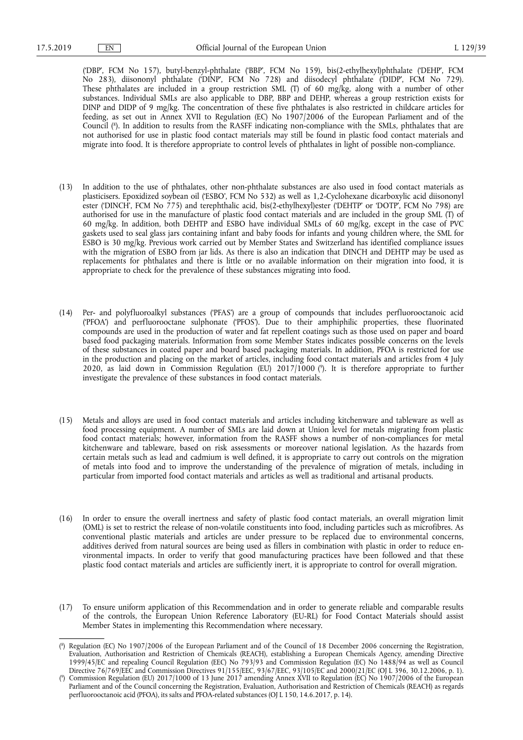('DBP', FCM No 157), butyl-benzyl-phthalate ('BBP', FCM No 159), bis(2-ethylhexyl)phthalate ('DEHP', FCM No 283), diisononyl phthalate ('DINP', FCM No 728) and diisodecyl phthalate ('DIDP', FCM No 729). These phthalates are included in a group restriction SML (T) of 60 mg/kg, along with a number of other substances. Individual SMLs are also applicable to DBP, BBP and DEHP, whereas a group restriction exists for DINP and DIDP of 9 mg/kg. The concentration of these five phthalates is also restricted in childcare articles for feeding, as set out in Annex XVII to Regulation (EC) No 1907/2006 of the European Parliament and of the Council ( 8 ). In addition to results from the RASFF indicating non-compliance with the SMLs, phthalates that are not authorised for use in plastic food contact materials may still be found in plastic food contact materials and migrate into food. It is therefore appropriate to control levels of phthalates in light of possible non-compliance.

- (13) In addition to the use of phthalates, other non-phthalate substances are also used in food contact materials as plasticisers. Epoxidized soybean oil ('ESBO', FCM No 532) as well as 1,2-Cyclohexane dicarboxylic acid diisononyl ester ('DINCH', FCM No 775) and terephthalic acid, bis(2-ethylhexyl)ester ('DEHTP' or 'DOTP', FCM No 798) are authorised for use in the manufacture of plastic food contact materials and are included in the group SML (T) of 60 mg/kg. In addition, both DEHTP and ESBO have individual SMLs of 60 mg/kg, except in the case of PVC gaskets used to seal glass jars containing infant and baby foods for infants and young children where, the SML for ESBO is 30 mg/kg. Previous work carried out by Member States and Switzerland has identified compliance issues with the migration of ESBO from jar lids. As there is also an indication that DINCH and DEHTP may be used as replacements for phthalates and there is little or no available information on their migration into food, it is appropriate to check for the prevalence of these substances migrating into food.
- (14) Per- and polyfluoroalkyl substances ('PFAS') are a group of compounds that includes perfluorooctanoic acid ('PFOA') and perfluorooctane sulphonate ('PFOS'). Due to their amphiphilic properties, these fluorinated compounds are used in the production of water and fat repellent coatings such as those used on paper and board based food packaging materials. Information from some Member States indicates possible concerns on the levels of these substances in coated paper and board based packaging materials. In addition, PFOA is restricted for use in the production and placing on the market of articles, including food contact materials and articles from 4 July 2020, as laid down in Commission Regulation (EU) 2017/1000 ( 9 ). It is therefore appropriate to further investigate the prevalence of these substances in food contact materials.
- (15) Metals and alloys are used in food contact materials and articles including kitchenware and tableware as well as food processing equipment. A number of SMLs are laid down at Union level for metals migrating from plastic food contact materials; however, information from the RASFF shows a number of non-compliances for metal kitchenware and tableware, based on risk assessments or moreover national legislation. As the hazards from certain metals such as lead and cadmium is well defined, it is appropriate to carry out controls on the migration of metals into food and to improve the understanding of the prevalence of migration of metals, including in particular from imported food contact materials and articles as well as traditional and artisanal products.
- (16) In order to ensure the overall inertness and safety of plastic food contact materials, an overall migration limit (OML) is set to restrict the release of non-volatile constituents into food, including particles such as microfibres. As conventional plastic materials and articles are under pressure to be replaced due to environmental concerns, additives derived from natural sources are being used as fillers in combination with plastic in order to reduce environmental impacts. In order to verify that good manufacturing practices have been followed and that these plastic food contact materials and articles are sufficiently inert, it is appropriate to control for overall migration.
- (17) To ensure uniform application of this Recommendation and in order to generate reliable and comparable results of the controls, the European Union Reference Laboratory (EU-RL) for Food Contact Materials should assist Member States in implementing this Recommendation where necessary.

<sup>(</sup> 8 ) Regulation (EC) No 1907/2006 of the European Parliament and of the Council of 18 December 2006 concerning the Registration, Evaluation, Authorisation and Restriction of Chemicals (REACH), establishing a European Chemicals Agency, amending Directive 1999/45/EC and repealing Council Regulation (EEC) No 793/93 and Commission Regulation (EC) No 1488/94 as well as Council Directive 76/769/EEC and Commission Directives 91/155/EEC, 93/67/EEC, 93/105/EC and 2000/21/EC (OJ L 396, 30.12.2006, p. 1).

<sup>(</sup> 9 ) Commission Regulation (EU) 2017/1000 of 13 June 2017 amending Annex XVII to Regulation (EC) No 1907/2006 of the European Parliament and of the Council concerning the Registration, Evaluation, Authorisation and Restriction of Chemicals (REACH) as regards perfluorooctanoic acid (PFOA), its salts and PFOA-related substances (OJ L 150, 14.6.2017, p. 14).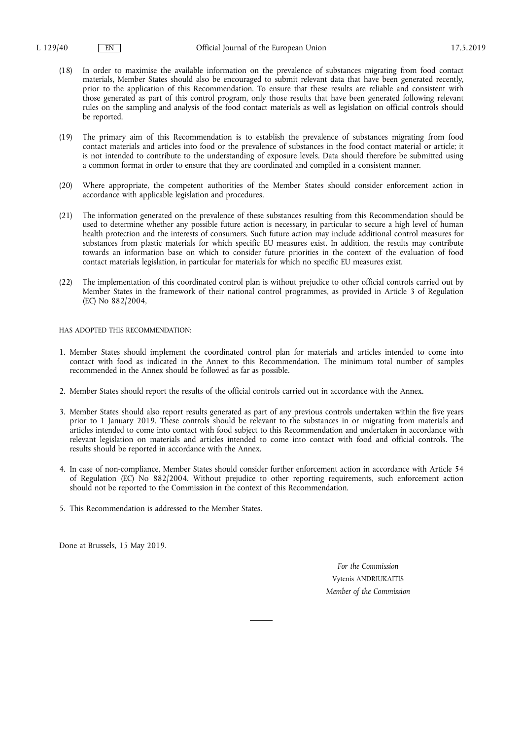- (18) In order to maximise the available information on the prevalence of substances migrating from food contact materials, Member States should also be encouraged to submit relevant data that have been generated recently, prior to the application of this Recommendation. To ensure that these results are reliable and consistent with those generated as part of this control program, only those results that have been generated following relevant rules on the sampling and analysis of the food contact materials as well as legislation on official controls should be reported.
- (19) The primary aim of this Recommendation is to establish the prevalence of substances migrating from food contact materials and articles into food or the prevalence of substances in the food contact material or article; it is not intended to contribute to the understanding of exposure levels. Data should therefore be submitted using a common format in order to ensure that they are coordinated and compiled in a consistent manner.
- (20) Where appropriate, the competent authorities of the Member States should consider enforcement action in accordance with applicable legislation and procedures.
- (21) The information generated on the prevalence of these substances resulting from this Recommendation should be used to determine whether any possible future action is necessary, in particular to secure a high level of human health protection and the interests of consumers. Such future action may include additional control measures for substances from plastic materials for which specific EU measures exist. In addition, the results may contribute towards an information base on which to consider future priorities in the context of the evaluation of food contact materials legislation, in particular for materials for which no specific EU measures exist.
- (22) The implementation of this coordinated control plan is without prejudice to other official controls carried out by Member States in the framework of their national control programmes, as provided in Article 3 of Regulation (EC) No 882/2004,

HAS ADOPTED THIS RECOMMENDATION:

- 1. Member States should implement the coordinated control plan for materials and articles intended to come into contact with food as indicated in the Annex to this Recommendation. The minimum total number of samples recommended in the Annex should be followed as far as possible.
- 2. Member States should report the results of the official controls carried out in accordance with the Annex.
- 3. Member States should also report results generated as part of any previous controls undertaken within the five years prior to 1 January 2019. These controls should be relevant to the substances in or migrating from materials and articles intended to come into contact with food subject to this Recommendation and undertaken in accordance with relevant legislation on materials and articles intended to come into contact with food and official controls. The results should be reported in accordance with the Annex.
- 4. In case of non-compliance, Member States should consider further enforcement action in accordance with Article 54 of Regulation (EC) No 882/2004. Without prejudice to other reporting requirements, such enforcement action should not be reported to the Commission in the context of this Recommendation.
- 5. This Recommendation is addressed to the Member States.

Done at Brussels, 15 May 2019.

*For the Commission*  Vytenis ANDRIUKAITIS *Member of the Commission*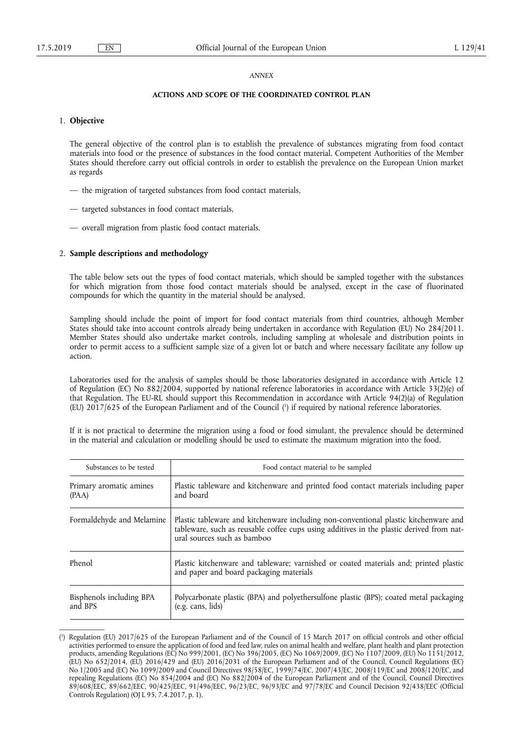#### *ANNEX*

#### **ACTIONS AND SCOPE OF THE COORDINATED CONTROL PLAN**

## 1. **Objective**

The general objective of the control plan is to establish the prevalence of substances migrating from food contact materials into food or the presence of substances in the food contact material. Competent Authorities of the Member States should therefore carry out official controls in order to establish the prevalence on the European Union market as regards

- the migration of targeted substances from food contact materials,
- targeted substances in food contact materials,
- overall migration from plastic food contact materials.

## 2. **Sample descriptions and methodology**

The table below sets out the types of food contact materials, which should be sampled together with the substances for which migration from those food contact materials should be analysed, except in the case of fluorinated compounds for which the quantity in the material should be analysed.

Sampling should include the point of import for food contact materials from third countries, although Member States should take into account controls already being undertaken in accordance with Regulation (EU) No 284/2011. Member States should also undertake market controls, including sampling at wholesale and distribution points in order to permit access to a sufficient sample size of a given lot or batch and where necessary facilitate any follow up action.

Laboratories used for the analysis of samples should be those laboratories designated in accordance with Article 12 of Regulation (EC) No 882/2004, supported by national reference laboratories in accordance with Article 33(2)(e) of that Regulation. The EU-RL should support this Recommendation in accordance with Article 94(2)(a) of Regulation (EU) 2017/625 of the European Parliament and of the Council ( 1 ) if required by national reference laboratories.

If it is not practical to determine the migration using a food or food simulant, the prevalence should be determined in the material and calculation or modelling should be used to estimate the maximum migration into the food.

| Substances to be tested             | Food contact material to be sampled                                                                                                                                                                             |  |
|-------------------------------------|-----------------------------------------------------------------------------------------------------------------------------------------------------------------------------------------------------------------|--|
| Primary aromatic amines<br>(PAA)    | Plastic tableware and kitchenware and printed food contact materials including paper<br>and board                                                                                                               |  |
| Formaldehyde and Melamine           | Plastic tableware and kitchenware including non-conventional plastic kitchenware and<br>tableware, such as reusable coffee cups using additives in the plastic derived from nat-<br>ural sources such as bamboo |  |
| Phenol                              | Plastic kitchenware and tableware; varnished or coated materials and; printed plastic<br>and paper and board packaging materials                                                                                |  |
| Bisphenols including BPA<br>and BPS | Polycarbonate plastic (BPA) and polyethersulfone plastic (BPS); coated metal packaging<br>$(e.g. \text{ cans}, \text{lids})$                                                                                    |  |

<sup>(</sup> 1 ) Regulation (EU) 2017/625 of the European Parliament and of the Council of 15 March 2017 on official controls and other official activities performed to ensure the application of food and feed law, rules on animal health and welfare, plant health and plant protection products, amending Regulations (EC) No 999/2001, (EC) No 396/2005, (EC) No 1069/2009, (EC) No 1107/2009, (EU) No 1151/2012, (EU) No 652/2014, (EU) 2016/429 and (EU) 2016/2031 of the European Parliament and of the Council, Council Regulations (EC) No 1/2005 and (EC) No 1099/2009 and Council Directives 98/58/EC, 1999/74/EC, 2007/43/EC, 2008/119/EC and 2008/120/EC, and repealing Regulations (EC) No 854/2004 and (EC) No 882/2004 of the European Parliament and of the Council, Council Directives 89/608/EEC, 89/662/EEC, 90/425/EEC, 91/496/EEC, 96/23/EC, 96/93/EC and 97/78/EC and Council Decision 92/438/EEC (Official Controls Regulation) (OJ L 95, 7.4.2017, p. 1).